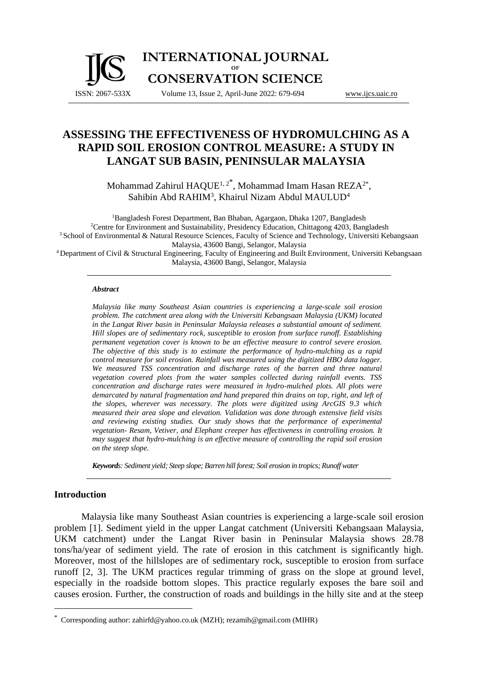#### ISSN: 2067-533X **INTERNATIONAL JOURNAL OF CONSERVATION SCIENCE** Volume 13, Issue 2, April-June 2022: 679-694 [www.ijcs.uaic.ro](http://www.ijcs.uaic.ro/)

# **ASSESSING THE EFFECTIVENESS OF HYDROMULCHING AS A RAPID SOIL EROSION CONTROL MEASURE: A STUDY IN LANGAT SUB BASIN, PENINSULAR MALAYSIA**

Mohammad Zahirul HAQUE<sup>1,2\*</sup>, Mohammad Imam Hasan REZA<sup>2\*</sup>, Sahibin Abd RAHIM<sup>3</sup>, Khairul Nizam Abdul MAULUD<sup>4</sup>

<sup>1</sup>Bangladesh Forest Department, Ban Bhaban, Agargaon, Dhaka 1207, Bangladesh <sup>2</sup>Centre for Environment and Sustainability, Presidency Education, Chittagong 4203, Bangladesh <sup>3</sup> School of Environmental & Natural Resource Sciences, Faculty of Science and Technology, Universiti Kebangsaan Malaysia, 43600 Bangi, Selangor, Malaysia <sup>4</sup>Department of Civil & Structural Engineering, Faculty of Engineering and Built Environment, Universiti Kebangsaan Malaysia, 43600 Bangi, Selangor, Malaysia

#### *Abstract*

*Malaysia like many Southeast Asian countries is experiencing a large-scale soil erosion problem. The catchment area along with the Universiti Kebangsaan Malaysia (UKM) located in the Langat River basin in Peninsular Malaysia releases a substantial amount of sediment. Hill slopes are of sedimentary rock, susceptible to erosion from surface runoff. Establishing permanent vegetation cover is known to be an effective measure to control severe erosion. The objective of this study is to estimate the performance of hydro-mulching as a rapid control measure for soil erosion. Rainfall was measured using the digitized HBO data logger. We measured TSS concentration and discharge rates of the barren and three natural vegetation covered plots from the water samples collected during rainfall events. TSS concentration and discharge rates were measured in hydro-mulched plots. All plots were demarcated by natural fragmentation and hand prepared thin drains on top, right, and left of the slopes, wherever was necessary. The plots were digitized using ArcGIS 9.3 which measured their area slope and elevation. Validation was done through extensive field visits and reviewing existing studies. Our study shows that the performance of experimental vegetation- Resam, Vetiver, and Elephant creeper has effectiveness in controlling erosion. It may suggest that hydro-mulching is an effective measure of controlling the rapid soil erosion on the steep slope.*

*Keywords: Sediment yield; Steep slope; Barren hill forest; Soil erosion in tropics; Runoff water*

# **Introduction**

Malaysia like many Southeast Asian countries is experiencing a large-scale soil erosion problem [1]. Sediment yield in the upper Langat catchment (Universiti Kebangsaan Malaysia, UKM catchment) under the Langat River basin in Peninsular Malaysia shows 28.78 tons/ha/year of sediment yield. The rate of erosion in this catchment is significantly high. Moreover, most of the hillslopes are of sedimentary rock, susceptible to erosion from surface runoff [2, 3]. The UKM practices regular trimming of grass on the slope at ground level, especially in the roadside bottom slopes. This practice regularly exposes the bare soil and causes erosion. Further, the construction of roads and buildings in the hilly site and at the steep

<sup>\*</sup> Corresponding author: zahirfd@yahoo.co.uk (MZH); rezamih@gmail.com (MIHR)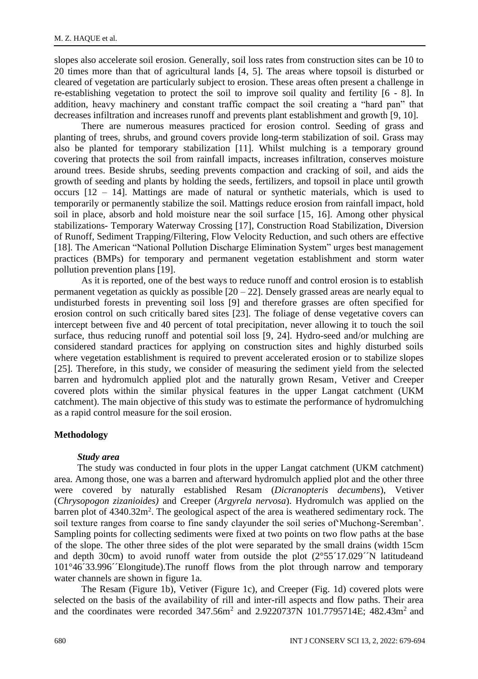slopes also accelerate soil erosion. Generally, soil loss rates from construction sites can be 10 to 20 times more than that of agricultural lands [4, 5]. The areas where topsoil is disturbed or cleared of vegetation are particularly subject to erosion. These areas often present a challenge in re-establishing vegetation to protect the soil to improve soil quality and fertility [6 - 8]. In addition, heavy machinery and constant traffic compact the soil creating a "hard pan" that decreases infiltration and increases runoff and prevents plant establishment and growth [9, 10].

There are numerous measures practiced for erosion control. Seeding of grass and planting of trees, shrubs, and ground covers provide long-term stabilization of soil. Grass may also be planted for temporary stabilization [11]. Whilst mulching is a temporary ground covering that protects the soil from rainfall impacts, increases infiltration, conserves moisture around trees. Beside shrubs, seeding prevents compaction and cracking of soil, and aids the growth of seeding and plants by holding the seeds, fertilizers, and topsoil in place until growth occurs  $[12 - 14]$ . Mattings are made of natural or synthetic materials, which is used to temporarily or permanently stabilize the soil. Mattings reduce erosion from rainfall impact, hold soil in place, absorb and hold moisture near the soil surface [15, 16]. Among other physical stabilizations- Temporary Waterway Crossing [17], Construction Road Stabilization, Diversion of Runoff, Sediment Trapping/Filtering, Flow Velocity Reduction, and such others are effective [18]. The American "National Pollution Discharge Elimination System" urges best management practices (BMPs) for temporary and permanent vegetation establishment and storm water pollution prevention plans [19].

As it is reported, one of the best ways to reduce runoff and control erosion is to establish permanent vegetation as quickly as possible  $[20 - 22]$ . Densely grassed areas are nearly equal to undisturbed forests in preventing soil loss [9] and therefore grasses are often specified for erosion control on such critically bared sites [23]. The foliage of dense vegetative covers can intercept between five and 40 percent of total precipitation, never allowing it to touch the soil surface, thus reducing runoff and potential soil loss [9, 24]. Hydro-seed and/or mulching are considered standard practices for applying on construction sites and highly disturbed soils where vegetation establishment is required to prevent accelerated erosion or to stabilize slopes [25]. Therefore, in this study, we consider of measuring the sediment yield from the selected barren and hydromulch applied plot and the naturally grown Resam, Vetiver and Creeper covered plots within the similar physical features in the upper Langat catchment (UKM catchment). The main objective of this study was to estimate the performance of hydromulching as a rapid control measure for the soil erosion.

### **Methodology**

#### *Study area*

The study was conducted in four plots in the upper Langat catchment (UKM catchment) area. Among those, one was a barren and afterward hydromulch applied plot and the other three were covered by naturally established Resam (*Dicranopteris decumbens*), Vetiver (*Chrysopogon zizanioides)* and Creeper (*Argyrela nervosa*). Hydromulch was applied on the barren plot of 4340.32m<sup>2</sup>. The geological aspect of the area is weathered sedimentary rock. The soil texture ranges from coarse to fine sandy clayunder the soil series of'Muchong-Seremban'. Sampling points for collecting sediments were fixed at two points on two flow paths at the base of the slope. The other three sides of the plot were separated by the small drains (width 15cm and depth 30cm) to avoid runoff water from outside the plot  $(2°55'17.029'N$  latitudeand 101°46´33.996´´Elongitude).The runoff flows from the plot through narrow and temporary water channels are shown in figure 1a.

The Resam (Figure 1b), Vetiver (Figure 1c), and Creeper (Fig. 1d) covered plots were selected on the basis of the availability of rill and inter-rill aspects and flow paths. Their area and the coordinates were recorded  $347.56m^2$  and  $2.9220737N$  101.7795714E; 482.43m<sup>2</sup> and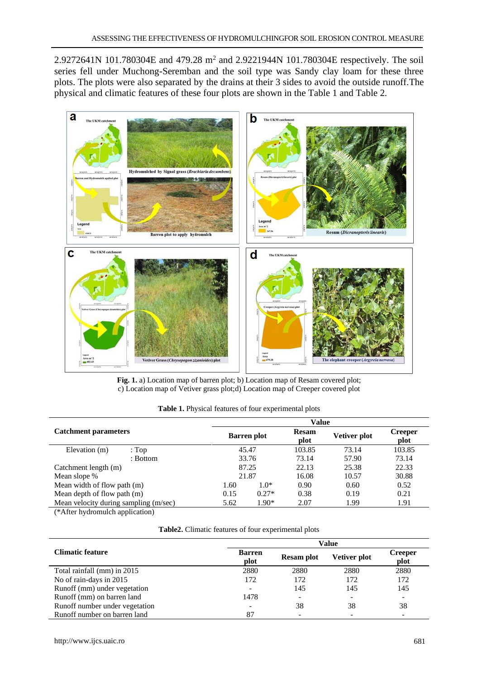2.9272641N 101.780304E and 479.28 m<sup>2</sup> and 2.9221944N 101.780304E respectively. The soil series fell under Muchong-Seremban and the soil type was Sandy clay loam for these three plots. The plots were also separated by the drains at their 3 sides to avoid the outside runoff.The physical and climatic features of these four plots are shown in the Table 1 and Table 2.



**Fig. 1.** a) Location map of barren plot; b) Location map of Resam covered plot; c) Location map of Vetiver grass plot;d) Location map of Creeper covered plot

|                                       |          | Value |                    |       |              |                 |  |  |
|---------------------------------------|----------|-------|--------------------|-------|--------------|-----------------|--|--|
| <b>Catchment parameters</b>           |          |       | <b>Barren</b> plot |       | Vetiver plot | Creeper<br>plot |  |  |
| Elevation (m)                         | : $Top$  |       | 45.47              |       | 73.14        | 103.85          |  |  |
|                                       | : Bottom |       | 33.76              | 73.14 | 57.90        | 73.14           |  |  |
| Catchment length (m)                  |          |       | 87.25              | 22.13 | 25.38        | 22.33           |  |  |
| Mean slope %                          |          |       | 21.87              |       | 10.57        | 30.88           |  |  |
| Mean width of flow path (m)           |          | 1.60  | $1.0*$             | 0.90  | 0.60         | 0.52            |  |  |
| Mean depth of flow path (m)           |          | 0.15  | $0.27*$            | 0.38  | 0.19         | 0.21            |  |  |
| Mean velocity during sampling (m/sec) |          | 5.62  | $1.90*$            | 2.07  | 1.99         | 1.91            |  |  |

**Table 1.** Physical features of four experimental plots

(\*After hydromulch application)

| Table2. Climatic features of four experimental plots |  |  |
|------------------------------------------------------|--|--|
|------------------------------------------------------|--|--|

|                                |                       | Value             |                          |                          |  |  |  |
|--------------------------------|-----------------------|-------------------|--------------------------|--------------------------|--|--|--|
| <b>Climatic feature</b>        | <b>Barren</b><br>plot | <b>Resam plot</b> | Vetiver plot             | <b>Creeper</b><br>plot   |  |  |  |
| Total rainfall (mm) in 2015    | 2880                  | 2880              | 2880                     | 2880                     |  |  |  |
| No of rain-days in 2015        | 172                   | 172               | 172                      | 172                      |  |  |  |
| Runoff (mm) under vegetation   | ۰                     | 145               | 145                      | 145                      |  |  |  |
| Runoff (mm) on barren land     | 1478                  | ۰                 | $\overline{\phantom{a}}$ |                          |  |  |  |
| Runoff number under vegetation |                       | 38                | 38                       | 38                       |  |  |  |
| Runoff number on barren land   | 87                    |                   | $\overline{\phantom{a}}$ | $\overline{\phantom{a}}$ |  |  |  |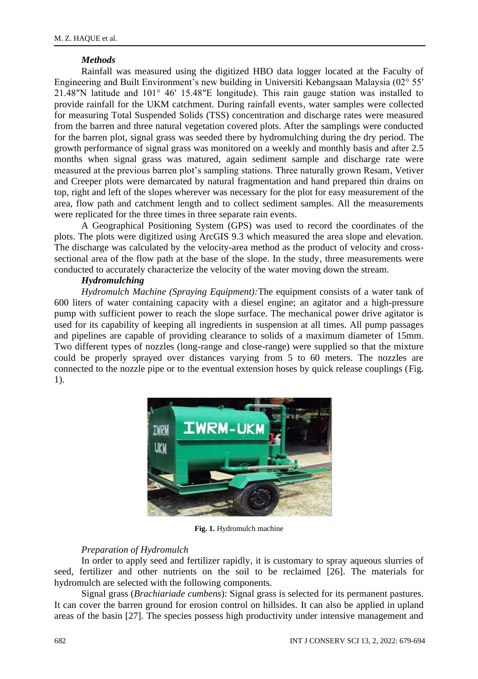#### *Methods*

Rainfall was measured using the digitized HBO data logger located at the Faculty of Engineering and Built Environment's new building in Universiti Kebangsaan Malaysia (02° 55′ 21.48″N latitude and 101° 46′ 15.48″E longitude). This rain gauge station was installed to provide rainfall for the UKM catchment. During rainfall events, water samples were collected for measuring Total Suspended Solids (TSS) concentration and discharge rates were measured from the barren and three natural vegetation covered plots. After the samplings were conducted for the barren plot, signal grass was seeded there by hydromulching during the dry period. The growth performance of signal grass was monitored on a weekly and monthly basis and after 2.5 months when signal grass was matured, again sediment sample and discharge rate were measured at the previous barren plot's sampling stations. Three naturally grown Resam, Vetiver and Creeper plots were demarcated by natural fragmentation and hand prepared thin drains on top, right and left of the slopes wherever was necessary for the plot for easy measurement of the area, flow path and catchment length and to collect sediment samples. All the measurements were replicated for the three times in three separate rain events.

A Geographical Positioning System (GPS) was used to record the coordinates of the plots. The plots were digitized using ArcGIS 9.3 which measured the area slope and elevation. The discharge was calculated by the velocity-area method as the product of velocity and crosssectional area of the flow path at the base of the slope. In the study, three measurements were conducted to accurately characterize the velocity of the water moving down the stream.

# *Hydromulching*

*Hydromulch Machine (Spraying Equipment):*The equipment consists of a water tank of 600 liters of water containing capacity with a diesel engine; an agitator and a high-pressure pump with sufficient power to reach the slope surface. The mechanical power drive agitator is used for its capability of keeping all ingredients in suspension at all times. All pump passages and pipelines are capable of providing clearance to solids of a maximum diameter of 15mm. Two different types of nozzles (long-range and close-range) were supplied so that the mixture could be properly sprayed over distances varying from 5 to 60 meters. The nozzles are connected to the nozzle pipe or to the eventual extension hoses by quick release couplings (Fig. 1).



**Fig. 1.** Hydromulch machine

# *Preparation of Hydromulch*

In order to apply seed and fertilizer rapidly, it is customary to spray aqueous slurries of seed, fertilizer and other nutrients on the soil to be reclaimed [26]. The materials for hydromulch are selected with the following components.

Signal grass (*Brachiariade cumbens*): Signal grass is selected for its permanent pastures. It can cover the barren ground for erosion control on hillsides. It can also be applied in upland areas of the basin [27]. The species possess high productivity under intensive management and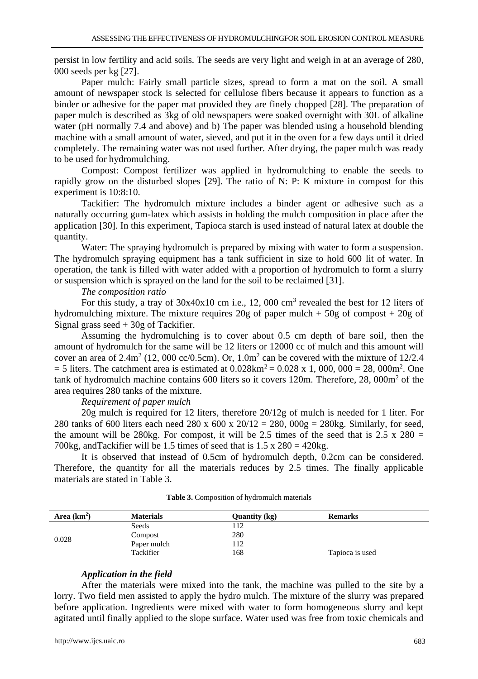persist in low fertility and acid soils. The seeds are very light and weigh in at an average of 280, 000 seeds per kg [27].

Paper mulch: Fairly small particle sizes, spread to form a mat on the soil. A small amount of newspaper stock is selected for cellulose fibers because it appears to function as a binder or adhesive for the paper mat provided they are finely chopped [28]. The preparation of paper mulch is described as 3kg of old newspapers were soaked overnight with 30L of alkaline water (pH normally 7.4 and above) and b) The paper was blended using a household blending machine with a small amount of water, sieved, and put it in the oven for a few days until it dried completely. The remaining water was not used further. After drying, the paper mulch was ready to be used for hydromulching.

Compost: Compost fertilizer was applied in hydromulching to enable the seeds to rapidly grow on the disturbed slopes [29]. The ratio of N: P: K mixture in compost for this experiment is 10:8:10.

Tackifier: The hydromulch mixture includes a binder agent or adhesive such as a naturally occurring gum-latex which assists in holding the mulch composition in place after the application [30]. In this experiment, Tapioca starch is used instead of natural latex at double the quantity.

Water: The spraying hydromulch is prepared by mixing with water to form a suspension. The hydromulch spraying equipment has a tank sufficient in size to hold 600 lit of water. In operation, the tank is filled with water added with a proportion of hydromulch to form a slurry or suspension which is sprayed on the land for the soil to be reclaimed [31].

### *The composition ratio*

For this study, a tray of  $30x40x10$  cm i.e., 12, 000 cm<sup>3</sup> revealed the best for 12 liters of hydromulching mixture. The mixture requires 20g of paper mulch  $+ 50g$  of compost  $+ 20g$  of Signal grass seed + 30g of Tackifier.

Assuming the hydromulching is to cover about 0.5 cm depth of bare soil, then the amount of hydromulch for the same will be 12 liters or 12000 cc of mulch and this amount will cover an area of  $2.4 \text{m}^2$  (12, 000 cc/0.5cm). Or,  $1.0 \text{m}^2$  can be covered with the mixture of 12/2.4  $=$  5 liters. The catchment area is estimated at 0.028km<sup>2</sup>  $=$  0.028 x 1, 000, 000  $=$  28, 000m<sup>2</sup>. One tank of hydromulch machine contains 600 liters so it covers 120m. Therefore, 28, 000m<sup>2</sup> of the area requires 280 tanks of the mixture.

#### *Requirement of paper mulch*

20g mulch is required for 12 liters, therefore 20/12g of mulch is needed for 1 liter. For 280 tanks of 600 liters each need 280 x 600 x  $20/12 = 280$ ,  $0.00g = 280kg$ . Similarly, for seed, the amount will be 280kg. For compost, it will be 2.5 times of the seed that is  $2.5 \times 280 =$ 700kg, and Tackifier will be 1.5 times of seed that is  $1.5 \times 280 = 420$ kg.

It is observed that instead of 0.5cm of hydromulch depth,  $0.2$ cm can be considered. Therefore, the quantity for all the materials reduces by 2.5 times. The finally applicable materials are stated in Table 3.

| Area $(km2)$ | <b>Materials</b> | Quantity (kg) | <b>Remarks</b>  |
|--------------|------------------|---------------|-----------------|
| 0.028        | Seeds            | 112           |                 |
|              | Compost          | 280           |                 |
|              | Paper mulch      | 112           |                 |
|              | Tackifier        | 168           | Tapioca is used |

# *Application in the field*

After the materials were mixed into the tank, the machine was pulled to the site by a lorry. Two field men assisted to apply the hydro mulch. The mixture of the slurry was prepared before application. Ingredients were mixed with water to form homogeneous slurry and kept agitated until finally applied to the slope surface. Water used was free from toxic chemicals and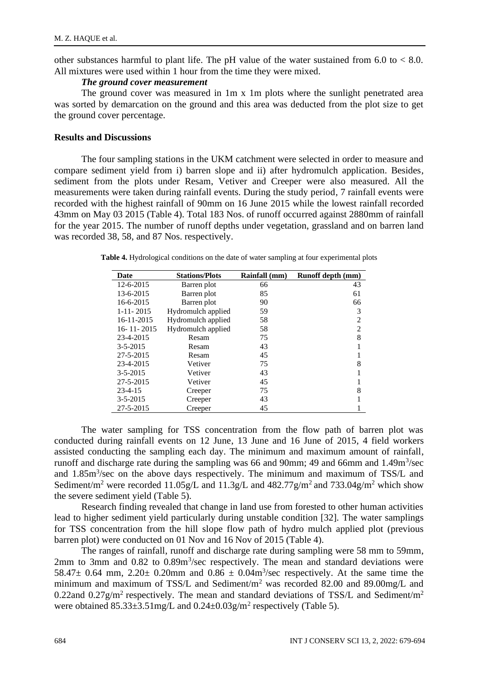other substances harmful to plant life. The pH value of the water sustained from  $6.0$  to  $< 8.0$ . All mixtures were used within 1 hour from the time they were mixed.

#### *The ground cover measurement*

The ground cover was measured in 1m x 1m plots where the sunlight penetrated area was sorted by demarcation on the ground and this area was deducted from the plot size to get the ground cover percentage.

#### **Results and Discussions**

The four sampling stations in the UKM catchment were selected in order to measure and compare sediment yield from i) barren slope and ii) after hydromulch application. Besides, sediment from the plots under Resam, Vetiver and Creeper were also measured. All the measurements were taken during rainfall events. During the study period, 7 rainfall events were recorded with the highest rainfall of 90mm on 16 June 2015 while the lowest rainfall recorded 43mm on May 03 2015 (Table 4). Total 183 Nos. of runoff occurred against 2880mm of rainfall for the year 2015. The number of runoff depths under vegetation, grassland and on barren land was recorded 38, 58, and 87 Nos. respectively.

**Table 4.** Hydrological conditions on the date of water sampling at four experimental plots

| Date             | <b>Stations/Plots</b> | Rainfall (mm) | Runoff depth (mm) |
|------------------|-----------------------|---------------|-------------------|
| $12 - 6 - 2015$  | Barren plot           | 66            | 43                |
| 13-6-2015        | Barren plot           | 85            | 61                |
| 16-6-2015        | Barren plot           | 90            | 66                |
| $1 - 11 - 2015$  | Hydromulch applied    | 59            | 3                 |
| 16-11-2015       | Hydromulch applied    | 58            |                   |
| $16 - 11 - 2015$ | Hydromulch applied    | 58            | $\overline{c}$    |
| 23-4-2015        | Resam                 | 75            | 8                 |
| $3 - 5 - 2015$   | Resam                 | 43            |                   |
| 27-5-2015        | Resam                 | 45            |                   |
| 23-4-2015        | Vetiver               | 75            | 8                 |
| $3 - 5 - 2015$   | Vetiver               | 43            |                   |
| 27-5-2015        | Vetiver               | 45            |                   |
| $23 - 4 - 15$    | Creeper               | 75            | 8                 |
| $3 - 5 - 2015$   | Creeper               | 43            |                   |
| 27-5-2015        | Creeper               | 45            |                   |

The water sampling for TSS concentration from the flow path of barren plot was conducted during rainfall events on 12 June, 13 June and 16 June of 2015, 4 field workers assisted conducting the sampling each day. The minimum and maximum amount of rainfall, runoff and discharge rate during the sampling was 66 and 90mm; 49 and 66mm and 1.49m<sup>3</sup>/sec and 1.85m<sup>3</sup>/sec on the above days respectively. The minimum and maximum of TSS/L and Sediment/m<sup>2</sup> were recorded 11.05g/L and 11.3g/L and 482.77g/m<sup>2</sup> and 733.04g/m<sup>2</sup> which show the severe sediment yield (Table 5).

Research finding revealed that change in land use from forested to other human activities lead to higher sediment yield particularly during unstable condition [32]. The water samplings for TSS concentration from the hill slope flow path of hydro mulch applied plot (previous barren plot) were conducted on 01 Nov and 16 Nov of 2015 (Table 4).

The ranges of rainfall, runoff and discharge rate during sampling were 58 mm to 59mm,  $2 \text{mm}$  to  $3 \text{mm}$  and  $0.82$  to  $0.89 \text{m}^3/\text{sec}$  respectively. The mean and standard deviations were 58.47 $\pm$  0.64 mm, 2.20 $\pm$  0.20mm and 0.86  $\pm$  0.04m<sup>3</sup>/sec respectively. At the same time the minimum and maximum of TSS/L and Sediment/m<sup>2</sup> was recorded 82.00 and 89.00mg/L and 0.22and 0.27g/m<sup>2</sup> respectively. The mean and standard deviations of TSS/L and Sediment/m<sup>2</sup> were obtained  $85.33\pm3.51$  mg/L and  $0.24\pm0.03$  g/m<sup>2</sup> respectively (Table 5).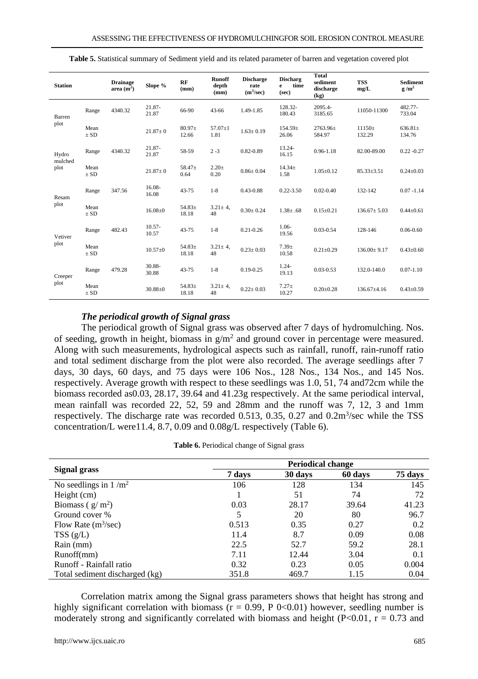| <b>Station</b>  |                  | <b>Drainage</b><br>area $(m2)$ | Slope %            | RF<br>(mm)        | <b>Runoff</b><br>depth<br>(mm) | <b>Discharge</b><br>rate<br>$(m^3/sec)$ | <b>Discharg</b><br>time<br>e<br>(sec) | <b>Total</b><br>sediment<br>discharge<br>(kg) | <b>TSS</b><br>mg/L | Sediment<br>$g/m^2$    |
|-----------------|------------------|--------------------------------|--------------------|-------------------|--------------------------------|-----------------------------------------|---------------------------------------|-----------------------------------------------|--------------------|------------------------|
| Barren          | Range            | 4340.32                        | 21.87-<br>21.87    | 66-90             | 43-66                          | 1.49-1.85                               | 128.32-<br>180.43                     | 2095.4-<br>3185.65                            | 11050-11300        | 482.77-<br>733.04      |
| plot            | Mean<br>$\pm$ SD |                                | $21.87 \pm 0$      | $80.97+$<br>12.66 | $57.07 \pm 1$<br>1.81          | $1.63 \pm 0.19$                         | $154.59+$<br>26.06                    | 2763.96±<br>584.97                            | $11150+$<br>132.29 | $636.81 \pm$<br>134.76 |
| Hydro           | Range            | 4340.32                        | 21.87-<br>21.87    | 58-59             | $2 - 3$                        | $0.82 - 0.89$                           | 13.24-<br>16.15                       | $0.96 - 1.18$                                 | 82.00-89.00        | $0.22 - 0.27$          |
| mulched<br>plot | Mean<br>$\pm$ SD |                                | $21.87 \pm 0$      | 58.47±<br>0.64    | $2.20 +$<br>0.20               | $0.86 \pm 0.04$                         | $14.34+$<br>1.58                      | $1.05 \pm 0.12$                               | $85.33 \pm 3.51$   | $0.24 \pm 0.03$        |
| Resam           | Range            | 347.56                         | 16.08-<br>16.08    | 43-75             | $1-8$                          | $0.43 - 0.88$                           | $0.22 - 3.50$                         | $0.02 - 0.40$                                 | 132-142            | $0.07 - 1.14$          |
| plot            | Mean<br>$\pm$ SD |                                | $16.08 + 0$        | $54.83+$<br>18.18 | $3.21 \pm 4.$<br>48            | $0.30 \pm 0.24$                         | $1.38 \pm .68$                        | $0.15 \pm 0.21$                               | $136.67 \pm 5.03$  | $0.44 \pm 0.61$        |
| Vetiver         | Range            | 482.43                         | $10.57 -$<br>10.57 | $43 - 75$         | $1 - 8$                        | $0.21 - 0.26$                           | $1.06-$<br>19.56                      | $0.03 - 0.54$                                 | 128-146            | $0.06 - 0.60$          |
| plot            | Mean<br>$\pm$ SD |                                | $10.57 + 0$        | $54.83+$<br>18.18 | $3.21 \pm 4.$<br>48            | $0.23 \pm 0.03$                         | $7.39 +$<br>10.58                     | $0.21 \pm 0.29$                               | $136.00 \pm 9.17$  | $0.43 \pm 0.60$        |
| Creeper         | Range            | 479.28                         | 30.88-<br>30.88    | 43-75             | $1-8$                          | $0.19 - 0.25$                           | $1.24 -$<br>19.13                     | $0.03 - 0.53$                                 | 132.0-140.0        | $0.07 - 1.10$          |
| plot            | Mean<br>$\pm$ SD |                                | $30.88 + 0$        | $54.83+$<br>18.18 | $3.21 \pm 4$ ,<br>48           | $0.22 \pm 0.03$                         | $7.27+$<br>10.27                      | $0.20 \pm 0.28$                               | $136.67 + 4.16$    | $0.43 + 0.59$          |

**Table 5.** Statistical summary of Sediment yield and its related parameter of barren and vegetation covered plot

#### *The periodical growth of Signal grass*

The periodical growth of Signal grass was observed after 7 days of hydromulching. Nos. of seeding, growth in height, biomass in  $g/m^2$  and ground cover in percentage were measured. Along with such measurements, hydrological aspects such as rainfall, runoff, rain-runoff ratio and total sediment discharge from the plot were also recorded. The average seedlings after 7 days, 30 days, 60 days, and 75 days were 106 Nos., 128 Nos., 134 Nos., and 145 Nos. respectively. Average growth with respect to these seedlings was 1.0, 51, 74 and72cm while the biomass recorded as0.03, 28.17, 39.64 and 41.23g respectively. At the same periodical interval, mean rainfall was recorded 22, 52, 59 and 28mm and the runoff was 7, 12, 3 and 1mm respectively. The discharge rate was recorded 0.513, 0.35, 0.27 and 0.2m<sup>3</sup>/sec while the TSS concentration/L were11.4, 8.7, 0.09 and 0.08g/L respectively (Table 6).

|                                | <b>Periodical change</b> |         |         |         |  |  |  |
|--------------------------------|--------------------------|---------|---------|---------|--|--|--|
| Signal grass                   | 7 days                   | 30 days | 60 days | 75 days |  |  |  |
| No seedlings in $1/m^2$        | 106                      | 128     | 134     | 145     |  |  |  |
| Height (cm)                    |                          | 51      | 74      | 72      |  |  |  |
| Biomass ( $g/m^2$ )            | 0.03                     | 28.17   | 39.64   | 41.23   |  |  |  |
| Ground cover %                 |                          | 20      | 80      | 96.7    |  |  |  |
| Flow Rate $(m^3/sec)$          | 0.513                    | 0.35    | 0.27    | 0.2     |  |  |  |
| TSS(g/L)                       | 11.4                     | 8.7     | 0.09    | 0.08    |  |  |  |
| Rain (mm)                      | 22.5                     | 52.7    | 59.2    | 28.1    |  |  |  |
| Runoff(mm)                     | 7.11                     | 12.44   | 3.04    | 0.1     |  |  |  |
| Runoff - Rainfall ratio        | 0.32                     | 0.23    | 0.05    | 0.004   |  |  |  |
| Total sediment discharged (kg) | 351.8                    | 469.7   | 1.15    | 0.04    |  |  |  |

Correlation matrix among the Signal grass parameters shows that height has strong and highly significant correlation with biomass ( $r = 0.99$ , P 0<0.01) however, seedling number is moderately strong and significantly correlated with biomass and height (P<0.01,  $r = 0.73$  and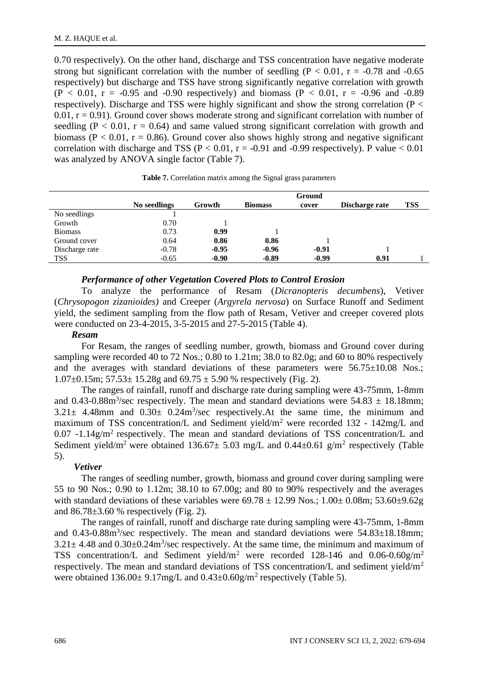0.70 respectively). On the other hand, discharge and TSS concentration have negative moderate strong but significant correlation with the number of seedling ( $P < 0.01$ ,  $r = -0.78$  and  $-0.65$ ) respectively) but discharge and TSS have strong significantly negative correlation with growth  $(P < 0.01, r = -0.95 \text{ and } -0.90 \text{ respectively})$  and biomass  $(P < 0.01, r = -0.96 \text{ and } -0.89 \text{ s}$ respectively). Discharge and TSS were highly significant and show the strong correlation (P <  $0.01$ ,  $r = 0.91$ ). Ground cover shows moderate strong and significant correlation with number of seedling ( $P < 0.01$ ,  $r = 0.64$ ) and same valued strong significant correlation with growth and biomass ( $P < 0.01$ ,  $r = 0.86$ ). Ground cover also shows highly strong and negative significant correlation with discharge and TSS ( $P < 0.01$ ,  $r = -0.91$  and  $-0.99$  respectively). P value  $< 0.01$ was analyzed by ANOVA single factor (Table 7).

|                |              |         | Ground         |         |                |     |  |
|----------------|--------------|---------|----------------|---------|----------------|-----|--|
|                | No seedlings | Growth  | <b>Biomass</b> | cover   | Discharge rate | TSS |  |
| No seedlings   |              |         |                |         |                |     |  |
| Growth         | 0.70         |         |                |         |                |     |  |
| <b>Biomass</b> | 0.73         | 0.99    |                |         |                |     |  |
| Ground cover   | 0.64         | 0.86    | 0.86           |         |                |     |  |
| Discharge rate | $-0.78$      | $-0.95$ | $-0.96$        | $-0.91$ |                |     |  |
| <b>TSS</b>     | $-0.65$      | $-0.90$ | $-0.89$        | $-0.99$ | 0.91           |     |  |

#### *Performance of other Vegetation Covered Plots to Control Erosion*

To analyze the performance of Resam (*Dicranopteris decumbens*), Vetiver (*Chrysopogon zizanioides)* and Creeper (*Argyrela nervosa*) on Surface Runoff and Sediment yield, the sediment sampling from the flow path of Resam, Vetiver and creeper covered plots were conducted on 23-4-2015, 3-5-2015 and 27-5-2015 (Table 4).

#### *Resam*

For Resam, the ranges of seedling number, growth, biomass and Ground cover during sampling were recorded 40 to 72 Nos.; 0.80 to 1.21m; 38.0 to 82.0g; and 60 to 80% respectively and the averages with standard deviations of these parameters were 56.75±10.08 Nos.; 1.07 $\pm$ 0.15m; 57.53 $\pm$  15.28g and 69.75  $\pm$  5.90 % respectively (Fig. 2).

The ranges of rainfall, runoff and discharge rate during sampling were 43-75mm, 1-8mm and 0.43-0.88 $\text{m}^3/\text{sec}$  respectively. The mean and standard deviations were 54.83  $\pm$  18.18mm;  $3.21 \pm 4.48$ mm and  $0.30 \pm 0.24$ m<sup>3</sup>/sec respectively. At the same time, the minimum and maximum of TSS concentration/L and Sediment yield/m<sup>2</sup> were recorded 132 - 142mg/L and 0.07 -1.14g/m<sup>2</sup> respectively. The mean and standard deviations of TSS concentration/L and Sediment yield/m<sup>2</sup> were obtained  $136.67 \pm 5.03$  mg/L and  $0.44 \pm 0.61$  g/m<sup>2</sup> respectively (Table 5).

#### *Vetiver*

The ranges of seedling number, growth, biomass and ground cover during sampling were 55 to 90 Nos.; 0.90 to 1.12m; 38.10 to 67.00g; and 80 to 90% respectively and the averages with standard deviations of these variables were  $69.78 \pm 12.99$  Nos.;  $1.00 \pm 0.08$ m;  $53.60 \pm 9.62$ g and  $86.78 \pm 3.60$  % respectively (Fig. 2).

The ranges of rainfall, runoff and discharge rate during sampling were 43-75mm, 1-8mm and  $0.43{\text -}0.88$ m<sup>3</sup>/sec respectively. The mean and standard deviations were  $54.83{\pm}18.18$ mm;  $3.21 \pm 4.48$  and  $0.30 \pm 0.24$ m<sup>3</sup>/sec respectively. At the same time, the minimum and maximum of TSS concentration/L and Sediment yield/m<sup>2</sup> were recorded 128-146 and 0.06-0.60g/m<sup>2</sup> respectively. The mean and standard deviations of TSS concentration/L and sediment yield/m<sup>2</sup> were obtained  $136.00 \pm 9.17$  mg/L and  $0.43 \pm 0.60$  g/m<sup>2</sup> respectively (Table 5).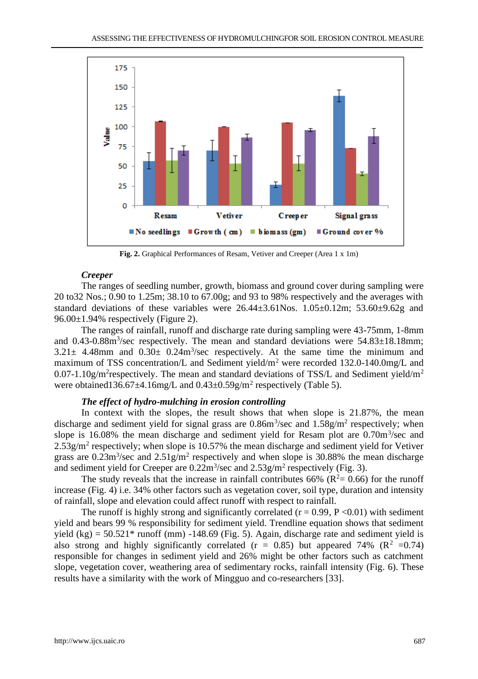

**Fig. 2.** Graphical Performances of Resam, Vetiver and Creeper (Area 1 x 1m)

#### *Creeper*

The ranges of seedling number, growth, biomass and ground cover during sampling were 20 to32 Nos.; 0.90 to 1.25m; 38.10 to 67.00g; and 93 to 98% respectively and the averages with standard deviations of these variables were  $26.44\pm3.61$ Nos.  $1.05\pm0.12$ m;  $53.60\pm9.62$ g and 96.00±1.94% respectively (Figure 2).

The ranges of rainfall, runoff and discharge rate during sampling were 43-75mm, 1-8mm and  $0.43{\text -}0.88$ m<sup>3</sup>/sec respectively. The mean and standard deviations were  $54.83{\pm}18.18$ mm;  $3.21 \pm 4.48$ mm and  $0.30 \pm 0.24$ m<sup>3</sup>/sec respectively. At the same time the minimum and maximum of TSS concentration/L and Sediment yield/m<sup>2</sup> were recorded 132.0-140.0mg/L and 0.07-1.10g/m<sup>2</sup>respectively. The mean and standard deviations of TSS/L and Sediment yield/m<sup>2</sup> were obtained136.67 $\pm$ 4.16mg/L and 0.43 $\pm$ 0.59g/m<sup>2</sup> respectively (Table 5).

# *The effect of hydro-mulching in erosion controlling*

In context with the slopes, the result shows that when slope is 21.87%, the mean discharge and sediment yield for signal grass are  $0.86m^3$ /sec and  $1.58g/m^2$  respectively; when slope is 16.08% the mean discharge and sediment yield for Resam plot are 0.70m<sup>3</sup>/sec and  $2.53$  g/m<sup>2</sup> respectively; when slope is  $10.57%$  the mean discharge and sediment yield for Vetiver grass are  $0.23 \text{m}^3/\text{sec}$  and  $2.51 \text{g/m}^2$  respectively and when slope is 30.88% the mean discharge and sediment yield for Creeper are  $0.22 \text{m}^3/\text{sec}$  and  $2.53 \text{g/m}^2$  respectively (Fig. 3).

The study reveals that the increase in rainfall contributes 66% ( $R^2 = 0.66$ ) for the runoff increase (Fig. 4) i.e. 34% other factors such as vegetation cover, soil type, duration and intensity of rainfall, slope and elevation could affect runoff with respect to rainfall.

The runoff is highly strong and significantly correlated  $(r = 0.99, P \le 0.01)$  with sediment yield and bears 99 % responsibility for sediment yield. Trendline equation shows that sediment yield (kg) =  $50.521*$  runoff (mm) -148.69 (Fig. 5). Again, discharge rate and sediment yield is also strong and highly significantly correlated ( $r = 0.85$ ) but appeared 74% ( $\mathbb{R}^2$  =0.74) responsible for changes in sediment yield and 26% might be other factors such as catchment slope, vegetation cover, weathering area of sedimentary rocks, rainfall intensity (Fig. 6). These results have a similarity with the work of Mingguo and co-researchers [33].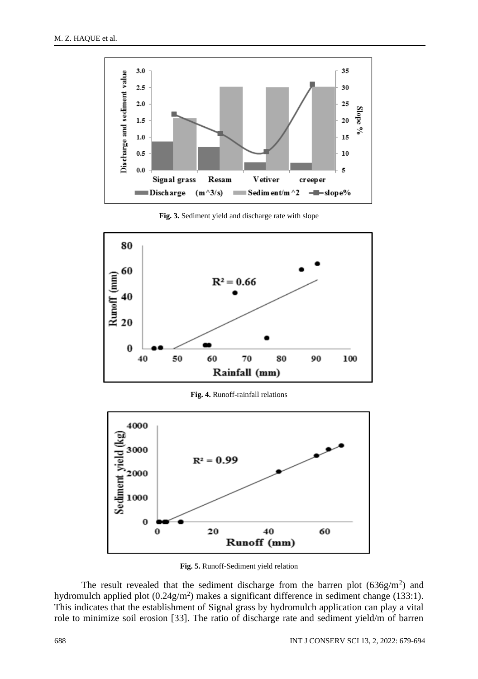

**Fig. 3.** Sediment yield and discharge rate with slope



**Fig. 4.** Runoff-rainfall relations



**Fig. 5.** Runoff-Sediment yield relation

The result revealed that the sediment discharge from the barren plot  $(636g/m<sup>2</sup>)$  and hydromulch applied plot  $(0.24g/m^2)$  makes a significant difference in sediment change (133:1). This indicates that the establishment of Signal grass by hydromulch application can play a vital role to minimize soil erosion [33]. The ratio of discharge rate and sediment yield/m of barren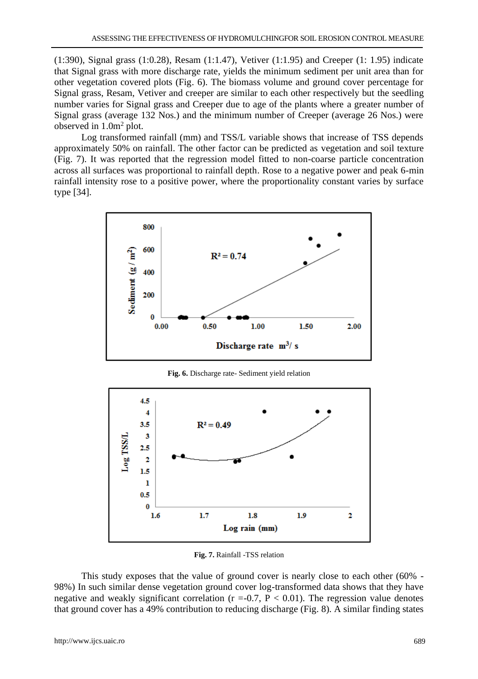(1:390), Signal grass (1:0.28), Resam (1:1.47), Vetiver (1:1.95) and Creeper (1: 1.95) indicate that Signal grass with more discharge rate, yields the minimum sediment per unit area than for other vegetation covered plots (Fig. 6). The biomass volume and ground cover percentage for Signal grass, Resam, Vetiver and creeper are similar to each other respectively but the seedling number varies for Signal grass and Creeper due to age of the plants where a greater number of Signal grass (average 132 Nos.) and the minimum number of Creeper (average 26 Nos.) were observed in 1.0m<sup>2</sup> plot.

Log transformed rainfall (mm) and TSS/L variable shows that increase of TSS depends approximately 50% on rainfall. The other factor can be predicted as vegetation and soil texture (Fig. 7). It was reported that the regression model fitted to non-coarse particle concentration across all surfaces was proportional to rainfall depth. Rose to a negative power and peak 6-min rainfall intensity rose to a positive power, where the proportionality constant varies by surface type [34].



**Fig. 6.** Discharge rate- Sediment yield relation



**Fig. 7.** Rainfall -TSS relation

This study exposes that the value of ground cover is nearly close to each other (60% - 98%) In such similar dense vegetation ground cover log-transformed data shows that they have negative and weakly significant correlation ( $r = -0.7$ ,  $P < 0.01$ ). The regression value denotes that ground cover has a 49% contribution to reducing discharge (Fig. 8). A similar finding states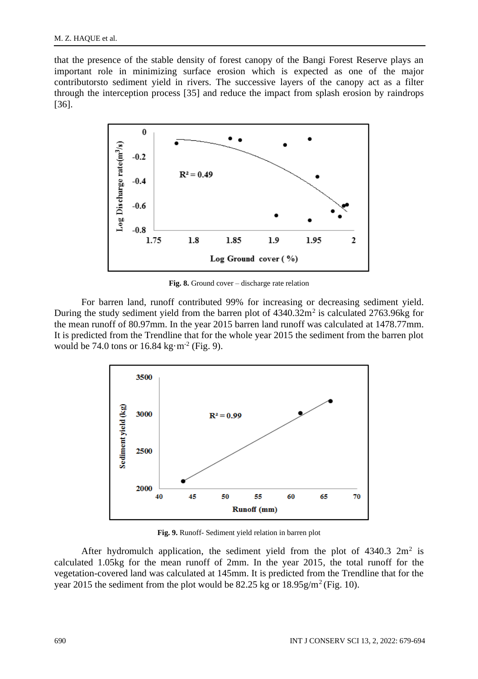that the presence of the stable density of forest canopy of the Bangi Forest Reserve plays an important role in minimizing surface erosion which is expected as one of the major contributorsto sediment yield in rivers. The successive layers of the canopy act as a filter through the interception process [35] and reduce the impact from splash erosion by raindrops [36].



**Fig. 8.** Ground cover – discharge rate relation

For barren land, runoff contributed 99% for increasing or decreasing sediment yield. During the study sediment yield from the barren plot of  $4340.32m^2$  is calculated  $2763.96$ kg for the mean runoff of 80.97mm. In the year 2015 barren land runoff was calculated at 1478.77mm. It is predicted from the Trendline that for the whole year 2015 the sediment from the barren plot would be 74.0 tons or  $16.84 \text{ kg} \cdot \text{m}^{-2}$  (Fig. 9).



**Fig. 9.** Runoff- Sediment yield relation in barren plot

After hydromulch application, the sediment yield from the plot of  $4340.3 \text{ } 2 \text{m}^2$  is calculated 1.05kg for the mean runoff of 2mm. In the year 2015, the total runoff for the vegetation-covered land was calculated at 145mm. It is predicted from the Trendline that for the year 2015 the sediment from the plot would be  $82.25$  kg or  $18.95$ g/m<sup>2</sup>(Fig. 10).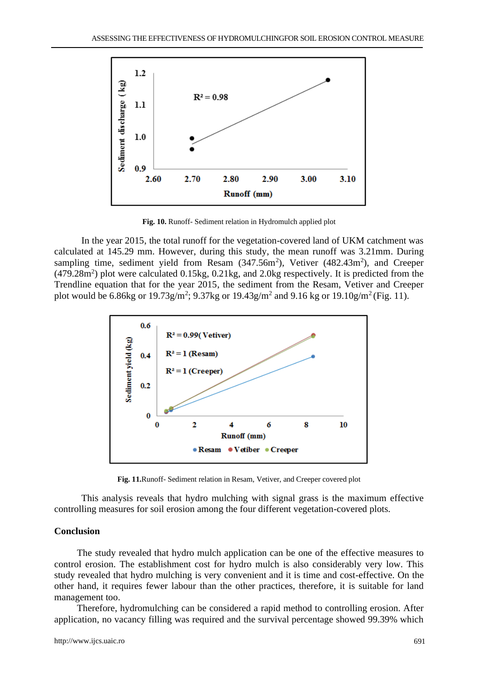

**Fig. 10.** Runoff- Sediment relation in Hydromulch applied plot

In the year 2015, the total runoff for the vegetation-covered land of UKM catchment was calculated at 145.29 mm. However, during this study, the mean runoff was 3.21mm. During sampling time, sediment yield from Resam  $(347.56m^2)$ , Vetiver  $(482.43m^2)$ , and Creeper  $(479.28m<sup>2</sup>)$  plot were calculated  $0.15kg$ ,  $0.21kg$ , and  $2.0kg$  respectively. It is predicted from the Trendline equation that for the year 2015, the sediment from the Resam, Vetiver and Creeper plot would be 6.86kg or 19.73g/m<sup>2</sup>; 9.37kg or 19.43g/m<sup>2</sup> and 9.16 kg or 19.10g/m<sup>2</sup> (Fig. 11).



**Fig. 11.**Runoff- Sediment relation in Resam, Vetiver, and Creeper covered plot

This analysis reveals that hydro mulching with signal grass is the maximum effective controlling measures for soil erosion among the four different vegetation-covered plots.

#### **Conclusion**

The study revealed that hydro mulch application can be one of the effective measures to control erosion. The establishment cost for hydro mulch is also considerably very low. This study revealed that hydro mulching is very convenient and it is time and cost-effective. On the other hand, it requires fewer labour than the other practices, therefore, it is suitable for land management too.

Therefore, hydromulching can be considered a rapid method to controlling erosion. After application, no vacancy filling was required and the survival percentage showed 99.39% which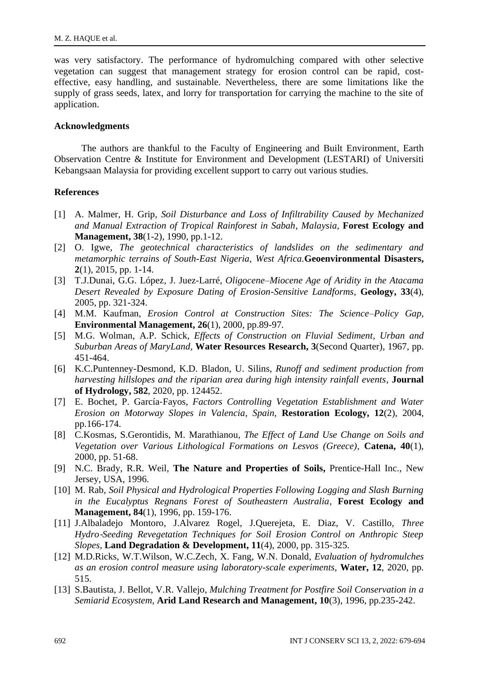was very satisfactory. The performance of hydromulching compared with other selective vegetation can suggest that management strategy for erosion control can be rapid, costeffective, easy handling, and sustainable. Nevertheless, there are some limitations like the supply of grass seeds, latex, and lorry for transportation for carrying the machine to the site of application.

#### **Acknowledgments**

The authors are thankful to the Faculty of Engineering and Built Environment, Earth Observation Centre & Institute for Environment and Development (LESTARI) of Universiti Kebangsaan Malaysia for providing excellent support to carry out various studies.

#### **References**

- [1] A. Malmer, H. Grip, *Soil Disturbance and Loss of Infiltrability Caused by Mechanized*  and Manual Extraction of Tropical Rainforest in Sabah, Malaysia, **Forest Ecology and Management, 38**(1-2), 1990, pp.1-12.
- [2] O. Igwe, *The geotechnical characteristics of landslides on the sedimentary and metamorphic terrains of South-East Nigeria, West Africa.***Geoenvironmental Disasters, 2**(1), 2015, pp. 1-14.
- [3] T.J.Dunai, G.G. López, J. Juez-Larré, *Oligocene–Miocene Age of Aridity in the Atacama Desert Revealed by Exposure Dating of Erosion-Sensitive Landforms*, **Geology, 33**(4), 2005, pp. 321-324.
- [4] M.M. Kaufman, *Erosion Control at Construction Sites: The Science–Policy Gap*, **Environmental Management, 26**(1), 2000, pp.89-97.
- [5] M.G. Wolman, A.P. Schick, *Effects of Construction on Fluvial Sediment, Urban and Suburban Areas of MaryLand,* **Water Resources Research, 3**(Second Quarter), 1967, pp. 451-464.
- [6] K.C.Puntenney-Desmond, K.D. Bladon, U. Silins, *Runoff and sediment production from harvesting hillslopes and the riparian area during high intensity rainfall events*, **Journal of Hydrology, 582**, 2020, pp. 124452.
- [7] E. Bochet, P. García‐Fayos, *Factors Controlling Vegetation Establishment and Water Erosion on Motorway Slopes in Valencia, Spain*, **Restoration Ecology, 12**(2), 2004, pp.166-174.
- [8] C.Kosmas, S.Gerontidis, M. Marathianou, *The Effect of Land Use Change on Soils and Vegetation over Various Lithological Formations on Lesvos (Greece), Catena, 40(1),* 2000, pp. 51-68.
- [9] N.C. Brady, R.R. Weil, **The Nature and Properties of Soils,** Prentice-Hall Inc., New Jersey, USA, 1996.
- [10] M. Rab, *Soil Physical and Hydrological Properties Following Logging and Slash Burning in the Eucalyptus Regnans Forest of Southeastern Australia,* **Forest Ecology and Management, 84**(1), 1996, pp. 159-176.
- [11] J.Albaladejo Montoro, J.Alvarez Rogel, J.Querejeta, E. Diaz, V. Castillo, *Three Hydro*‐*Seeding Revegetation Techniques for Soil Erosion Control on Anthropic Steep Slopes*, **Land Degradation & Development, 11**(4), 2000, pp. 315-325.
- [12] M.D.Ricks, W.T.Wilson, W.C.Zech, X. Fang, W.N. Donald, *Evaluation of hydromulches as an erosion control measure using laboratory-scale experiments*, **Water, 12**, 2020, pp. 515.
- [13] S.Bautista, J. Bellot, V.R. Vallejo, *Mulching Treatment for Postfire Soil Conservation in a Semiarid Ecosystem,* **Arid Land Research and Management, 10**(3), 1996, pp.235-242.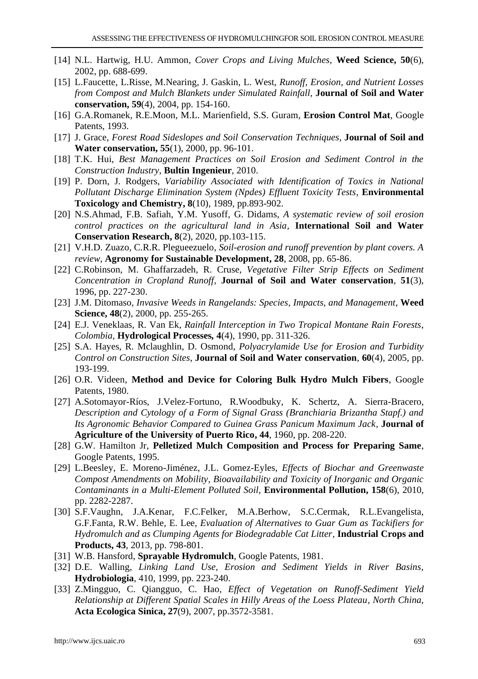- [14] N.L. Hartwig, H.U. Ammon, *Cover Crops and Living Mulches*, **Weed Science, 50**(6), 2002, pp. 688-699.
- [15] L.Faucette, L.Risse, M.Nearing, J. Gaskin, L. West, *Runoff, Erosion, and Nutrient Losses from Compost and Mulch Blankets under Simulated Rainfall,* **Journal of Soil and Water conservation, 59**(4), 2004, pp. 154-160.
- [16] G.A.Romanek, R.E.Moon, M.L. Marienfield, S.S. Guram, **Erosion Control Mat**, Google Patents, 1993.
- [17] J. Grace, *Forest Road Sideslopes and Soil Conservation Techniques*, **Journal of Soil and Water conservation, 55**(1), 2000, pp. 96-101.
- [18] T.K. Hui, *Best Management Practices on Soil Erosion and Sediment Control in the Construction Industry*, **Bultin Ingenieur***,* 2010.
- [19] P. Dorn, J. Rodgers, *Variability Associated with Identification of Toxics in National Pollutant Discharge Elimination System (Npdes) Effluent Toxicity Tests*, **Environmental Toxicology and Chemistry, 8**(10), 1989, pp.893-902.
- [20] N.S.Ahmad, F.B. Safiah, Y.M. Yusoff, G. Didams, *A systematic review of soil erosion control practices on the agricultural land in Asia,* **International Soil and Water Conservation Research, 8**(2), 2020, pp.103-115.
- [21] V.H.D. Zuazo, C.R.R. Plegueezuelo, *Soil-erosion and runoff prevention by plant covers. A review*, **Agronomy for Sustainable Development, 28**, 2008, pp. 65-86.
- [22] C.Robinson, M. Ghaffarzadeh, R. Cruse, *Vegetative Filter Strip Effects on Sediment Concentration in Cropland Runoff,* **Journal of Soil and Water conservation**, **51**(3), 1996, pp. 227-230.
- [23] J.M. Ditomaso, *Invasive Weeds in Rangelands: Species, Impacts, and Management*, **Weed Science, 48**(2), 2000, pp. 255-265.
- [24] E.J. Veneklaas, R. Van Ek, *Rainfall Interception in Two Tropical Montane Rain Forests*, *Colombia,* **Hydrological Processes***,* **4**(4), 1990, pp. 311-326.
- [25] S.A. Hayes, R. Mclaughlin, D. Osmond, *Polyacrylamide Use for Erosion and Turbidity Control on Construction Sites*, **Journal of Soil and Water conservation**, **60**(4), 2005, pp. 193-199.
- [26] O.R. Videen, **Method and Device for Coloring Bulk Hydro Mulch Fibers**, Google Patents, 1980.
- [27] A.Sotomayor-Ríos, J.Velez-Fortuno, R.Woodbuky, K. Schertz, A. Sierra-Bracero, *Description and Cytology of a Form of Signal Grass (Branchiaria Brizantha Stapf.) and Its Agronomic Behavior Compared to Guinea Grass Panicum Maximum Jack,* **Journal of Agriculture of the University of Puerto Rico, 44**, 1960, pp. 208-220.
- [28] G.W. Hamilton Jr, **Pelletized Mulch Composition and Process for Preparing Same**, Google Patents, 1995.
- [29] L.Beesley, E. Moreno-Jiménez, J.L. Gomez-Eyles, *Effects of Biochar and Greenwaste Compost Amendments on Mobility, Bioavailability and Toxicity of Inorganic and Organic Contaminants in a Multi-Element Polluted Soil,* **Environmental Pollution, 158**(6), 2010, pp. 2282-2287.
- [30] S.F.Vaughn, J.A.Kenar, F.C.Felker, M.A.Berhow, S.C.Cermak, R.L.Evangelista, G.F.Fanta, R.W. Behle, E. Lee, *Evaluation of Alternatives to Guar Gum as Tackifiers for Hydromulch and as Clumping Agents for Biodegradable Cat Litter,* **Industrial Crops and Products, 43**, 2013, pp. 798-801.
- [31] W.B. Hansford, **Sprayable Hydromulch**, Google Patents, 1981.
- [32] D.E. Walling, *Linking Land Use, Erosion and Sediment Yields in River Basins*, **Hydrobiologia**, 410, 1999, pp. 223-240.
- [33] Z.Mingguo, C. Qiangguo, C. Hao, *Effect of Vegetation on Runoff-Sediment Yield Relationship at Different Spatial Scales in Hilly Areas of the Loess Plateau, North China*, **Acta Ecologica Sinica, 27**(9), 2007, pp.3572-3581.